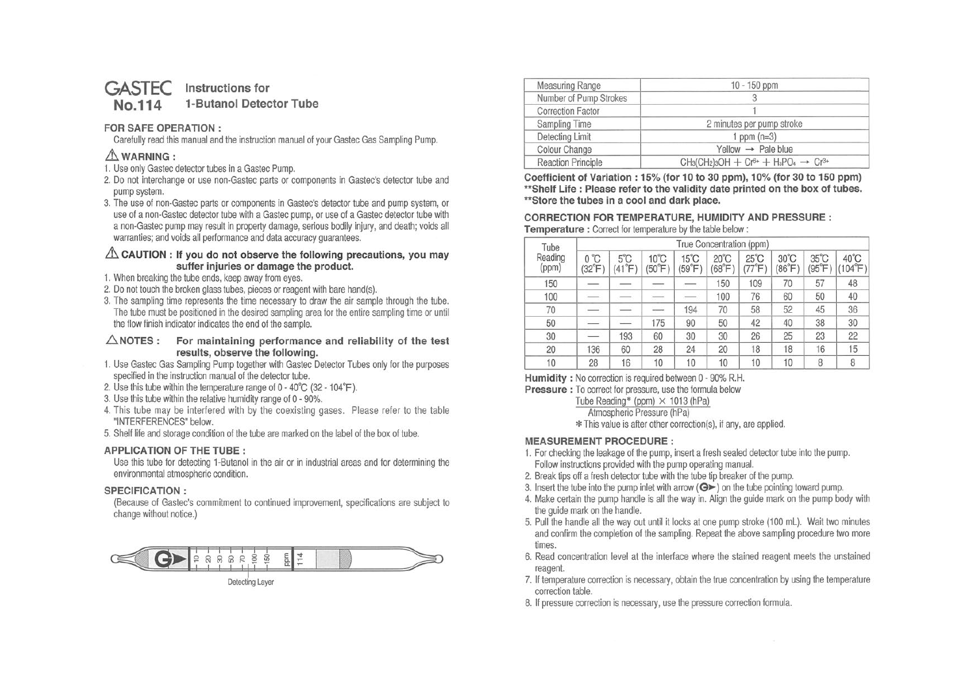#### **GASTEC Instructions for No.114 1-Butanol Detector Tube**

# **FOR SAFE OPERATION** :

Carefully read this manual and the instruction manual of your Gastec Gas Sampling Pump.

# $\triangle$  WARNING:

- 1. Use only Gastec detector tubes in a Gastec Pump.
- 2. Do not interchange or use non-Gastec parts or components in Gastec's detector tube and pump system.
- 3. The use of non-Gastec parts or components in Gastec's detector tube and pump system, or use of a non-Gastec detector tube with a Gastec pump, or use of a Gastec detector tube with <sup>a</sup>non-Gastec pump may result in property damage, serious bodily injury, and death; voids all warranties; and voids all performance and data accuracy guarantees.

### $\triangle$  CAUTION : If you do not observe the following precautions, you may **suffer injuries or damage the product.**

- 1. When breaking the tube ends, keep away from eyes.
- 2. Do not touch the broken glass tubes, pieces or reagent with bare hand(s).
- 3. The sampling time represents the time necessary to draw the air sample through the tube. The tube must be positioned in the desired sampling area for the entire sampling time or until the flow finish indicator indicates the end of the sample.

### **.6NOTES: For maintaining performance and reliability of the test results, observe the following.**

- 1. Use Gastec Gas Sampling Pump together with Gastec Detector Tubes only for the purposes specified in the instruction manual of the detector tube.
- 2. Use this tube within the temperature range of O 40°C (32 104°F ).
- 3. Use this tube within the relative humidity range of O 90%.
- 4. This tube may be interfered with by the coexisting gases. Please refer to the table "INTERFERENCES" below.
- 5. Shelf life and storage condition of the tube are marked on the label of the box of tube.

# **APPLICATION OF THE TUBE:**

Use this tube for detecting 1-Butanol in the air or in industrial areas and for determining the environmental atmospheric condition.

# **SPECIFICATION:**

(Because of Gastec's commitment to continued improvement, specifications are subject to change without notice.)



| Measuring Range                                                                                                                              | $10 - 150$ ppm                 |  |  |  |
|----------------------------------------------------------------------------------------------------------------------------------------------|--------------------------------|--|--|--|
| Number of Pump Strokes                                                                                                                       | 3                              |  |  |  |
| <b>Correction Factor</b>                                                                                                                     |                                |  |  |  |
| Sampling Time                                                                                                                                | 2 minutes per pump stroke      |  |  |  |
| Detecting Limit<br>1 ppm $(n=3)$                                                                                                             |                                |  |  |  |
| Colour Change                                                                                                                                | Yellow $\rightarrow$ Pale blue |  |  |  |
| $CH_3(CH_2)$ <sub>3</sub> OH + Cr <sup>6+</sup> + H <sub>3</sub> PO <sub>4</sub> $\rightarrow$ Cr <sup>3+</sup><br><b>Reaction Principle</b> |                                |  |  |  |

**Coefficient of Variation: 15% (for 10 to 30 ppm), 10% (for 30 to 150 ppm) \*\*Shelf Life : Please refer to the validity date printed on the box of tubes. \*\*Store the tubes in a cool and dark place.** 

#### **CORRECTION FOR TEMPERATURE, HUMIDITY AND PRESSURE: Temperature** : Correct for temperature by the table below:

| Tube             | True Concentration (ppm) |                                  |                            |                          |                                  |                                  |                          |                                |                 |
|------------------|--------------------------|----------------------------------|----------------------------|--------------------------|----------------------------------|----------------------------------|--------------------------|--------------------------------|-----------------|
| Reading<br>(ppm) | $0^{\circ}$ C<br>(32°F   | $5^{\circ}$ C<br>$(41^{\circ}F)$ | $10^{\circ}$ C<br>$(50°$ F | $15^{\circ}$ C<br>(59°F) | $20^{\circ}$ C<br>$68^{\circ}$ F | $25^{\circ}$ C<br>$77^{\circ}$ F | $30^{\circ}$ C<br>(86°F) | $35^{\circ}$ C<br>$95^\circ F$ | 40°C<br>(104°F) |
| 150              |                          |                                  |                            |                          | 150                              | 109                              | 70                       | 57                             | 48              |
| 100              |                          |                                  |                            |                          | 100                              | 76                               | 60                       | 50                             | 40              |
| 70               |                          |                                  |                            | 194                      | 70                               | 58                               | 52                       | 45                             | 36              |
| 50               |                          |                                  | 175                        | 90                       | 50                               | 42                               | 40                       | 38                             | 30              |
| 30               |                          | 193                              | 60                         | 30                       | 30                               | 26                               | 25                       | 23                             | 22              |
| 20               | 136                      | 60                               | 28                         | 24                       | 20                               | 18                               | 18                       | 16                             | 15              |
| 10               | 28                       | 16                               | 10                         | 10                       | 10                               | 10                               | 10                       | 8                              | 8               |

**Humidity** : No correction is required between O - 90% R.H.

**Pressure** : To correct for pressure, use the formula below

Tube Reading\* (ppm)  $\times$  1013 (hPa)

Atmospheric Pressure (hPa)

\* This value is after other correction(s), if any, are applied.

### **MEASUREMENT PROCEDURE:**

- 1. For checking the leakage of the pump, insert a fresh sealed detector tube into the pump. Follow instructions provided with the pump operating manual.
- 2. Break tips off a fresh detector tube with the tube tip breaker of the pump.
- 3. Insert the tube into the pump inlet with arrow  $(Q^* )$  on the tube pointing toward pump.
- 4. Make certain the pump handle is all the way in. Align the guide mark on the pump body with the guide mark on the handle.
- 5. Pull the handle all the way out until it locks at one pump stroke (100 ml). Wait two minutes and confirm the completion of the sampling. Repeat the above sampling procedure two more times.
- 6. Read concentration level at the interface where the stained reagent meets the unstained reagent.
- 7. If temperature correction is necessary, obtain the true concentration by using the temperature correction table.
- 8. If pressure correction is necessary, use the pressure correction formula.